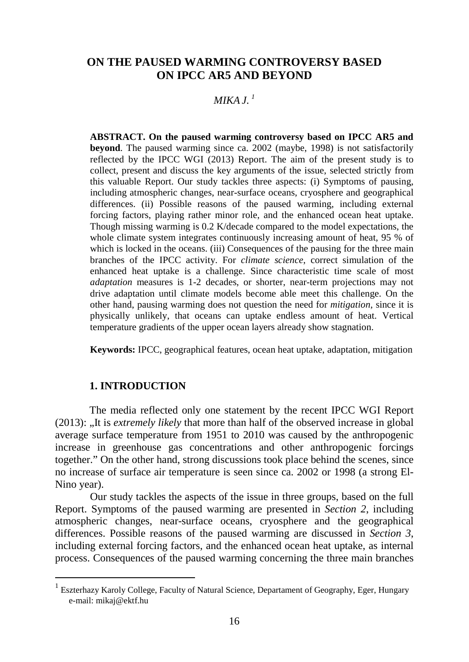# **ON THE PAUSED WARMING CONTROVERSY BASED ON IPCC AR5 AND BEYOND**

# $MIKA$   $J<sup>-1</sup>$  $J<sup>-1</sup>$  $J<sup>-1</sup>$

**ABSTRACT. On the paused warming controversy based on IPCC AR5 and beyond**. The paused warming since ca. 2002 (maybe, 1998) is not satisfactorily reflected by the IPCC WGI (2013) Report. The aim of the present study is to collect, present and discuss the key arguments of the issue, selected strictly from this valuable Report. Our study tackles three aspects: (i) Symptoms of pausing, including atmospheric changes, near-surface oceans, cryosphere and geographical differences. (ii) Possible reasons of the paused warming, including external forcing factors, playing rather minor role, and the enhanced ocean heat uptake. Though missing warming is 0.2 K/decade compared to the model expectations, the whole climate system integrates continuously increasing amount of heat, 95 % of which is locked in the oceans. (iii) Consequences of the pausing for the three main branches of the IPCC activity. For *climate science*, correct simulation of the enhanced heat uptake is a challenge. Since characteristic time scale of most *adaptation* measures is 1-2 decades, or shorter, near-term projections may not drive adaptation until climate models become able meet this challenge. On the other hand, pausing warming does not question the need for *mitigation*, since it is physically unlikely, that oceans can uptake endless amount of heat. Vertical temperature gradients of the upper ocean layers already show stagnation.

**Keywords:** IPCC, geographical features, ocean heat uptake, adaptation, mitigation

# **1. INTRODUCTION**

 $\overline{a}$ 

The media reflected only one statement by the recent IPCC WGI Report (2013): "It is *extremely likely* that more than half of the observed increase in global average surface temperature from 1951 to 2010 was caused by the anthropogenic increase in greenhouse gas concentrations and other anthropogenic forcings together." On the other hand, strong discussions took place behind the scenes, since no increase of surface air temperature is seen since ca. 2002 or 1998 (a strong El-Nino year).

Our study tackles the aspects of the issue in three groups, based on the full Report. Symptoms of the paused warming are presented in *Section 2*, including atmospheric changes, near-surface oceans, cryosphere and the geographical differences. Possible reasons of the paused warming are discussed in *Section 3*, including external forcing factors, and the enhanced ocean heat uptake, as internal process. Consequences of the paused warming concerning the three main branches

<span id="page-0-0"></span><sup>1</sup> Eszterhazy Karoly College, Faculty of Natural Science, Departament of Geography, Eger, Hungary e-mail: mikaj@ektf.hu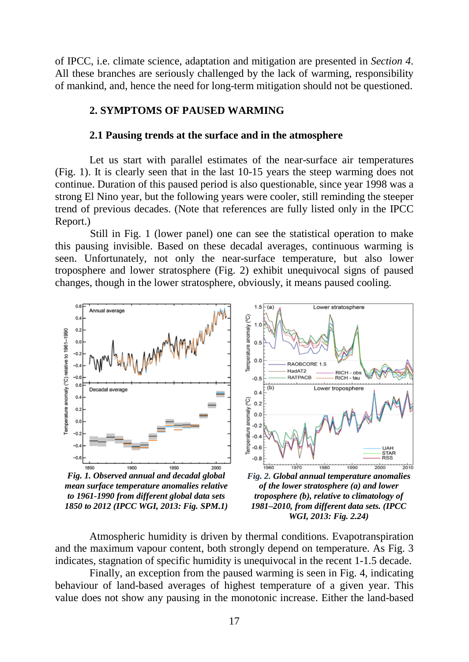of IPCC, i.e. climate science, adaptation and mitigation are presented in *Section 4*. All these branches are seriously challenged by the lack of warming, responsibility of mankind, and, hence the need for long-term mitigation should not be questioned.

# **2. SYMPTOMS OF PAUSED WARMING**

# **2.1 Pausing trends at the surface and in the atmosphere**

Let us start with parallel estimates of the near-surface air temperatures (Fig. 1). It is clearly seen that in the last 10-15 years the steep warming does not continue. Duration of this paused period is also questionable, since year 1998 was a strong El Nino year, but the following years were cooler, still reminding the steeper trend of previous decades. (Note that references are fully listed only in the IPCC Report.)

Still in Fig. 1 (lower panel) one can see the statistical operation to make this pausing invisible. Based on these decadal averages, continuous warming is seen. Unfortunately, not only the near-surface temperature, but also lower troposphere and lower stratosphere (Fig. 2) exhibit unequivocal signs of paused changes, though in the lower stratosphere, obviously, it means paused cooling.



*to 1961-1990 from different global data sets 1850 to 2012 (IPCC WGI, 2013: Fig. SPM.1)*

*troposphere (b), relative to climatology of 1981–2010, from different data sets. (IPCC WGI, 2013: Fig. 2.24)*

Atmospheric humidity is driven by thermal conditions. Evapotranspiration and the maximum vapour content, both strongly depend on temperature. As Fig. 3 indicates, stagnation of specific humidity is unequivocal in the recent 1-1.5 decade.

Finally, an exception from the paused warming is seen in Fig. 4*,* indicating behaviour of land-based averages of highest temperature of a given year. This value does not show any pausing in the monotonic increase. Either the land-based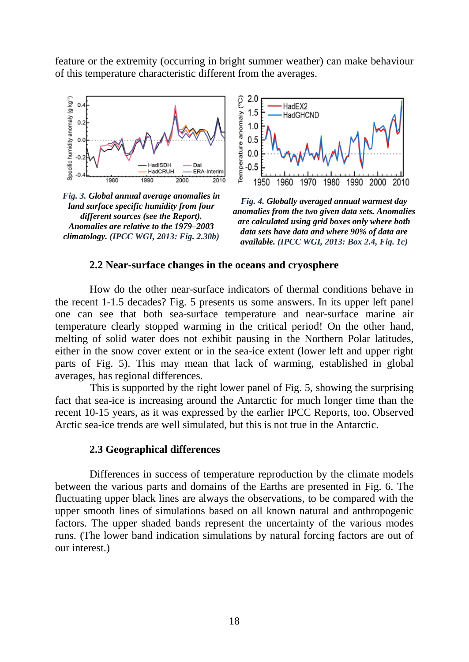feature or the extremity (occurring in bright summer weather) can make behaviour of this temperature characteristic different from the averages.



*Fig. 3. Global annual average anomalies in land surface specific humidity from four different sources (see the Report). Anomalies are relative to the 1979–2003 climatology. (IPCC WGI, 2013: Fig. 2.30b)*



*Fig. 4. Globally averaged annual warmest day anomalies from the two given data sets. Anomalies are calculated using grid boxes only where both data sets have data and where 90% of data are available. (IPCC WGI, 2013: Box 2.4, Fig. 1c)*

# **2.2 Near-surface changes in the oceans and cryosphere**

How do the other near-surface indicators of thermal conditions behave in the recent 1-1.5 decades? Fig. 5 presents us some answers. In its upper left panel one can see that both sea-surface temperature and near-surface marine air temperature clearly stopped warming in the critical period! On the other hand, melting of solid water does not exhibit pausing in the Northern Polar latitudes, either in the snow cover extent or in the sea-ice extent (lower left and upper right parts of Fig. 5). This may mean that lack of warming, established in global averages, has regional differences.

This is supported by the right lower panel of Fig. 5, showing the surprising fact that sea-ice is increasing around the Antarctic for much longer time than the recent 10-15 years, as it was expressed by the earlier IPCC Reports, too. Observed Arctic sea-ice trends are well simulated, but this is not true in the Antarctic.

## **2.3 Geographical differences**

Differences in success of temperature reproduction by the climate models between the various parts and domains of the Earths are presented in Fig. 6. The fluctuating upper black lines are always the observations, to be compared with the upper smooth lines of simulations based on all known natural and anthropogenic factors. The upper shaded bands represent the uncertainty of the various modes runs. (The lower band indication simulations by natural forcing factors are out of our interest.)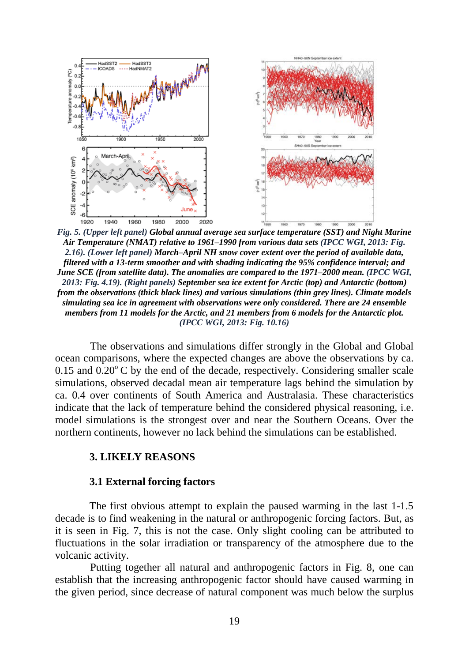

*Fig. 5. (Upper left panel) Global annual average sea surface temperature (SST) and Night Marine Air Temperature (NMAT) relative to 1961–1990 from various data sets (IPCC WGI, 2013: Fig. 2.16). (Lower left panel) March–April NH snow cover extent over the period of available data, filtered with a 13-term smoother and with shading indicating the 95% confidence interval; and June SCE (from satellite data). The anomalies are compared to the 1971–2000 mean. (IPCC WGI, 2013: Fig. 4.19). (Right panels) September sea ice extent for Arctic (top) and Antarctic (bottom) from the observations (thick black lines) and various simulations (thin grey lines). Climate models simulating sea ice in agreement with observations were only considered. There are 24 ensemble members from 11 models for the Arctic, and 21 members from 6 models for the Antarctic plot. (IPCC WGI, 2013: Fig. 10.16)*

The observations and simulations differ strongly in the Global and Global ocean comparisons, where the expected changes are above the observations by ca.  $0.15$  and  $0.20^{\circ}$  C by the end of the decade, respectively. Considering smaller scale simulations, observed decadal mean air temperature lags behind the simulation by ca. 0.4 over continents of South America and Australasia. These characteristics indicate that the lack of temperature behind the considered physical reasoning, i.e. model simulations is the strongest over and near the Southern Oceans. Over the northern continents, however no lack behind the simulations can be established.

# **3. LIKELY REASONS**

## **3.1 External forcing factors**

The first obvious attempt to explain the paused warming in the last 1-1.5 decade is to find weakening in the natural or anthropogenic forcing factors. But, as it is seen in Fig. 7, this is not the case. Only slight cooling can be attributed to fluctuations in the solar irradiation or transparency of the atmosphere due to the volcanic activity.

Putting together all natural and anthropogenic factors in Fig. 8, one can establish that the increasing anthropogenic factor should have caused warming in the given period, since decrease of natural component was much below the surplus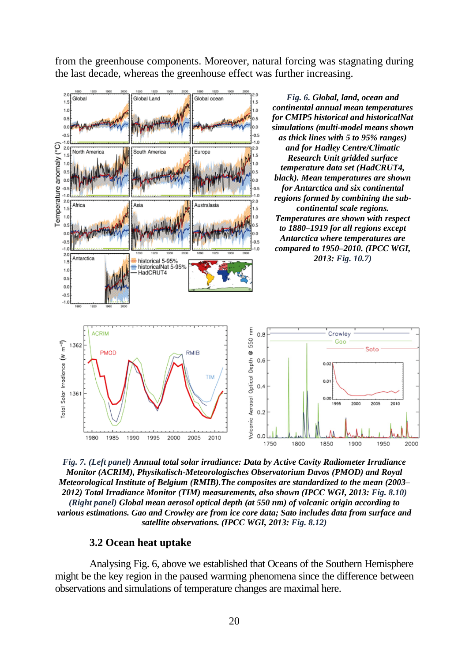from the greenhouse components. Moreover, natural forcing was stagnating during the last decade, whereas the greenhouse effect was further increasing.



*Fig. 7. (Left panel) Annual total solar irradiance: Data by Active Cavity Radiometer Irradiance Monitor (ACRIM), Physikalisch-Meteorologisches Observatorium Davos (PMOD) and Royal Meteorological Institute of Belgium (RMIB).The composites are standardized to the mean (2003– 2012) Total Irradiance Monitor (TIM) measurements, also shown (IPCC WGI, 2013: Fig. 8.10) (Right panel) Global mean aerosol optical depth (at 550 nm) of volcanic origin according to various estimations. Gao and Crowley are from ice core data; Sato includes data from surface and satellite observations. (IPCC WGI, 2013: Fig. 8.12)*

#### **3.2 Ocean heat uptake**

Analysing Fig. 6, above we established that Oceans of the Southern Hemisphere might be the key region in the paused warming phenomena since the difference between observations and simulations of temperature changes are maximal here.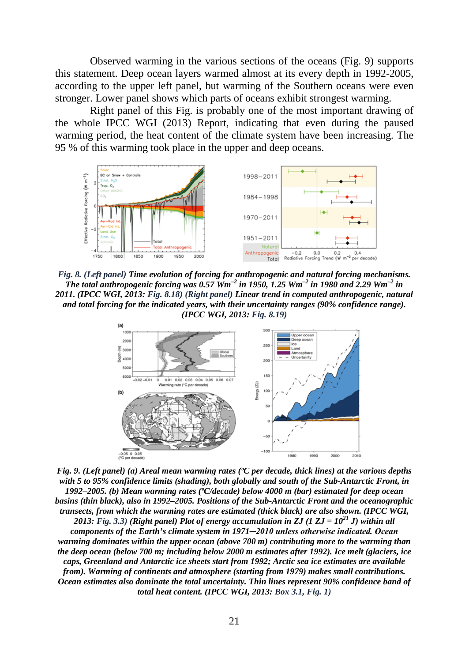Observed warming in the various sections of the oceans (Fig. 9) supports this statement. Deep ocean layers warmed almost at its every depth in 1992-2005, according to the upper left panel, but warming of the Southern oceans were even stronger. Lower panel shows which parts of oceans exhibit strongest warming.

Right panel of this Fig. is probably one of the most important drawing of the whole IPCC WGI (2013) Report, indicating that even during the paused warming period, the heat content of the climate system have been increasing. The 95 % of this warming took place in the upper and deep oceans.



*Fig. 8. (Left panel) Time evolution of forcing for anthropogenic and natural forcing mechanisms. The total anthropogenic forcing was 0.57 Wm–2 in 1950, 1.25 Wm–2 in 1980 and 2.29 Wm–2 in 2011. (IPCC WGI, 2013: Fig. 8.18) (Right panel) Linear trend in computed anthropogenic, natural and total forcing for the indicated years, with their uncertainty ranges (90% confidence range). (IPCC WGI, 2013: Fig. 8.19)*



*Fig. 9. (Left panel) (a) Areal mean warming rates (ºC per decade, thick lines) at the various depths with 5 to 95% confidence limits (shading), both globally and south of the Sub-Antarctic Front, in 1992–2005. (b) Mean warming rates (ºC/decade) below 4000 m (bar) estimated for deep ocean basins (thin black), also in 1992–2005. Positions of the Sub-Antarctic Front and the oceanographic transects, from which the warming rates are estimated (thick black) are also shown. (IPCC WGI,*  2013: Fig. 3.3) (Right panel) Plot of energy accumulation in ZJ (1 ZJ =  $10^{21}$  J) within all *components of the Earth's climate system in 1971─2010 unless otherwise indicated. Ocean warming dominates within the upper ocean (above 700 m) contributing more to the warming than the deep ocean (below 700 m; including below 2000 m estimates after 1992). Ice melt (glaciers, ice caps, Greenland and Antarctic ice sheets start from 1992; Arctic sea ice estimates are available from). Warming of continents and atmosphere (starting from 1979) makes small contributions. Ocean estimates also dominate the total uncertainty. Thin lines represent 90% confidence band of total heat content. (IPCC WGI, 2013: Box 3.1, Fig. 1)*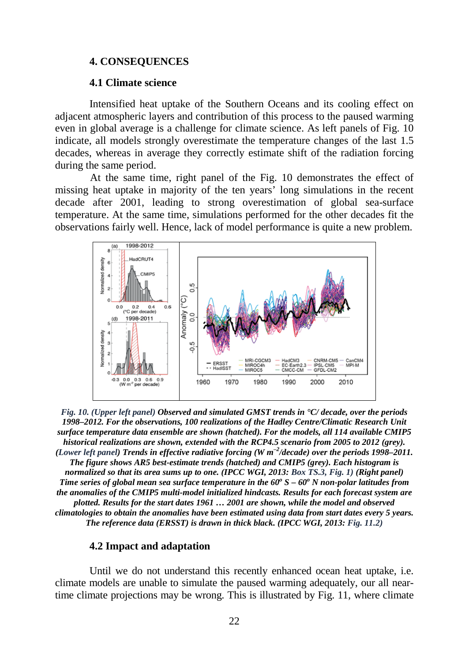# **4. CONSEQUENCES**

#### **4.1 Climate science**

Intensified heat uptake of the Southern Oceans and its cooling effect on adjacent atmospheric layers and contribution of this process to the paused warming even in global average is a challenge for climate science. As left panels of Fig. 10 indicate, all models strongly overestimate the temperature changes of the last 1.5 decades, whereas in average they correctly estimate shift of the radiation forcing during the same period.

At the same time, right panel of the Fig. 10 demonstrates the effect of missing heat uptake in majority of the ten years' long simulations in the recent decade after 2001, leading to strong overestimation of global sea-surface temperature. At the same time, simulations performed for the other decades fit the observations fairly well. Hence, lack of model performance is quite a new problem.



*Fig. 10. (Upper left panel) Observed and simulated GMST trends in °C/ decade, over the periods 1998–2012. For the observations, 100 realizations of the Hadley Centre/Climatic Research Unit surface temperature data ensemble are shown (hatched). For the models, all 114 available CMIP5 historical realizations are shown, extended with the RCP4.5 scenario from 2005 to 2012 (grey).*  (Lower left panel) Trends in effective radiative forcing (W m<sup>-2</sup>/decade) over the periods 1998–2011. *The figure shows AR5 best-estimate trends (hatched) and CMIP5 (grey). Each histogram is normalized so that its area sums up to one. (IPCC WGI, 2013: Box TS.3, Fig. 1) (Right panel) Time series of global mean sea surface temperature in the 60<sup>o</sup> S – 60<sup>o</sup> N non-polar latitudes from the anomalies of the CMIP5 multi-model initialized hindcasts. Results for each forecast system are plotted. Results for the start dates 1961 … 2001 are shown, while the model and observed climatologies to obtain the anomalies have been estimated using data from start dates every 5 years. The reference data (ERSST) is drawn in thick black. (IPCC WGI, 2013: Fig. 11.2)*

#### **4.2 Impact and adaptation**

Until we do not understand this recently enhanced ocean heat uptake, i.e. climate models are unable to simulate the paused warming adequately, our all neartime climate projections may be wrong. This is illustrated by Fig. 11, where climate